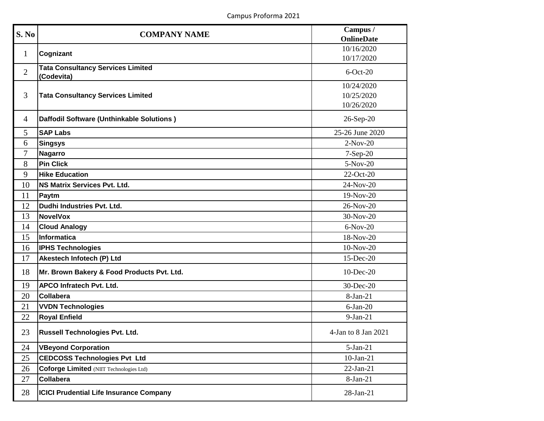| S. No          | <b>COMPANY NAME</b>                                    | Campus /<br><b>OnlineDate</b>          |
|----------------|--------------------------------------------------------|----------------------------------------|
| $\mathbf{1}$   | Cognizant                                              | 10/16/2020<br>10/17/2020               |
| $\overline{2}$ | <b>Tata Consultancy Services Limited</b><br>(Codevita) | $6$ -Oct-20                            |
| 3              | <b>Tata Consultancy Services Limited</b>               | 10/24/2020<br>10/25/2020<br>10/26/2020 |
| $\overline{4}$ | Daffodil Software (Unthinkable Solutions)              | 26-Sep-20                              |
| 5              | <b>SAP Labs</b>                                        | 25-26 June 2020                        |
| 6              | <b>Singsys</b>                                         | $2-Nov-20$                             |
| 7              | <b>Nagarro</b>                                         | $7-Sep-20$                             |
| 8              | <b>Pin Click</b>                                       | 5-Nov-20                               |
| 9              | <b>Hike Education</b>                                  | $22-Oct-20$                            |
| 10             | <b>NS Matrix Services Pvt. Ltd.</b>                    | 24-Nov-20                              |
| 11             | Paytm                                                  | $19-Nov-20$                            |
| 12             | Dudhi Industries Pvt. Ltd.                             | 26-Nov-20                              |
| 13             | <b>NovelVox</b>                                        | 30-Nov-20                              |
| 14             | <b>Cloud Analogy</b>                                   | $6-Nov-20$                             |
| 15             | Informatica                                            | 18-Nov-20                              |
| 16             | <b>IPHS Technologies</b>                               | 10-Nov-20                              |
| 17             | Akestech Infotech (P) Ltd                              | 15-Dec-20                              |
| 18             | Mr. Brown Bakery & Food Products Pvt. Ltd.             | 10-Dec-20                              |
| 19             | APCO Infratech Pvt. Ltd.                               | 30-Dec-20                              |
| 20             | <b>Collabera</b>                                       | $8-Jan-21$                             |
| 21             | <b>VVDN Technologies</b>                               | $6$ -Jan-20                            |
| 22             | <b>Royal Enfield</b>                                   | $9-Jan-21$                             |
| 23             | Russell Technologies Pvt. Ltd.                         | 4-Jan to 8 Jan 2021                    |
| 24             | <b>VBeyond Corporation</b>                             | $5-Jan-21$                             |
| 25             | <b>CEDCOSS Technologies Pvt Ltd</b>                    | $10$ -Jan-21                           |
| 26             | <b>Coforge Limited (NIIT Technologies Ltd)</b>         | $22-Jan-21$                            |
| 27             | Collabera                                              | $8-Jan-21$                             |
| 28             | <b>ICICI Prudential Life Insurance Company</b>         | 28-Jan-21                              |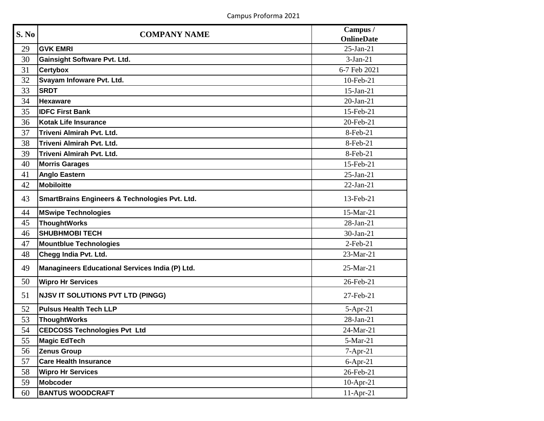| S. No | <b>COMPANY NAME</b>                                       | Campus /          |
|-------|-----------------------------------------------------------|-------------------|
|       |                                                           | <b>OnlineDate</b> |
| 29    | <b>GVK EMRI</b>                                           | $25$ -Jan-21      |
| 30    | <b>Gainsight Software Pvt. Ltd.</b>                       | $3-Jan-21$        |
| 31    | <b>Certybox</b>                                           | 6-7 Feb 2021      |
| 32    | Svayam Infoware Pvt. Ltd.                                 | 10-Feb-21         |
| 33    | <b>SRDT</b>                                               | $15$ -Jan-21      |
| 34    | <b>Hexaware</b>                                           | $20$ -Jan-21      |
| 35    | <b>IDFC First Bank</b>                                    | 15-Feb-21         |
| 36    | <b>Kotak Life Insurance</b>                               | 20-Feb-21         |
| 37    | Triveni Almirah Pvt. Ltd.                                 | 8-Feb-21          |
| 38    | Triveni Almirah Pvt. Ltd.                                 | 8-Feb-21          |
| 39    | Triveni Almirah Pvt. Ltd.                                 | 8-Feb-21          |
| 40    | <b>Morris Garages</b>                                     | 15-Feb-21         |
| 41    | <b>Anglo Eastern</b>                                      | $25-Jan-21$       |
| 42    | Mobiloitte                                                | $22-Jan-21$       |
| 43    | <b>SmartBrains Engineers &amp; Technologies Pvt. Ltd.</b> | 13-Feb-21         |
| 44    | <b>MSwipe Technologies</b>                                | 15-Mar-21         |
| 45    | <b>ThoughtWorks</b>                                       | 28-Jan-21         |
| 46    | <b>SHUBHMOBI TECH</b>                                     | 30-Jan-21         |
| 47    | <b>Mountblue Technologies</b>                             | $2$ -Feb-21       |
| 48    | Chegg India Pvt. Ltd.                                     | 23-Mar-21         |
| 49    | Managineers Educational Services India (P) Ltd.           | 25-Mar-21         |
| 50    | <b>Wipro Hr Services</b>                                  | 26-Feb-21         |
| 51    | <b>NJSV IT SOLUTIONS PVT LTD (PINGG)</b>                  | 27-Feb-21         |
| 52    | <b>Pulsus Health Tech LLP</b>                             | $5-Apr-21$        |
| 53    | <b>ThoughtWorks</b>                                       | 28-Jan-21         |
| 54    | <b>CEDCOSS Technologies Pvt Ltd</b>                       | 24-Mar-21         |
| 55    | <b>Magic EdTech</b>                                       | 5-Mar-21          |
| 56    | <b>Zenus Group</b>                                        | $7-Apr-21$        |
| 57    | <b>Care Health Insurance</b>                              | $6-Apr-21$        |
| 58    | <b>Wipro Hr Services</b>                                  | 26-Feb-21         |
| 59    | <b>Mobcoder</b>                                           | $10$ -Apr-21      |
| 60    | <b>BANTUS WOODCRAFT</b>                                   | $11-Apr-21$       |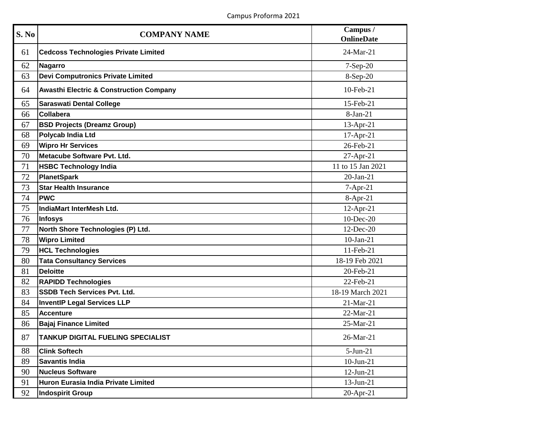| S. No | <b>COMPANY NAME</b>                                | Campus /<br><b>OnlineDate</b> |
|-------|----------------------------------------------------|-------------------------------|
| 61    | <b>Cedcoss Technologies Private Limited</b>        | 24-Mar-21                     |
| 62    | <b>Nagarro</b>                                     | 7-Sep-20                      |
| 63    | <b>Devi Computronics Private Limited</b>           | 8-Sep-20                      |
| 64    | <b>Awasthi Electric &amp; Construction Company</b> | 10-Feb-21                     |
| 65    | <b>Saraswati Dental College</b>                    | 15-Feb-21                     |
| 66    | <b>Collabera</b>                                   | 8-Jan-21                      |
| 67    | <b>BSD Projects (Dreamz Group)</b>                 | 13-Apr-21                     |
| 68    | <b>Polycab India Ltd</b>                           | 17-Apr-21                     |
| 69    | <b>Wipro Hr Services</b>                           | 26-Feb-21                     |
| 70    | Metacube Software Pvt. Ltd.                        | 27-Apr-21                     |
| 71    | <b>HSBC Technology India</b>                       | 11 to 15 Jan 2021             |
| 72    | <b>PlanetSpark</b>                                 | $20-Ian-21$                   |
| 73    | <b>Star Health Insurance</b>                       | 7-Apr-21                      |
| 74    | <b>PWC</b>                                         | $8-Apr-21$                    |
| 75    | IndiaMart InterMesh Ltd.                           | $12$ -Apr-21                  |
| 76    | <b>Infosys</b>                                     | $10$ -Dec-20                  |
| 77    | North Shore Technologies (P) Ltd.                  | 12-Dec-20                     |
| 78    | <b>Wipro Limited</b>                               | $10-Jan-21$                   |
| 79    | <b>HCL Technologies</b>                            | 11-Feb-21                     |
| 80    | <b>Tata Consultancy Services</b>                   | 18-19 Feb 2021                |
| 81    | <b>Deloitte</b>                                    | 20-Feb-21                     |
| 82    | <b>RAPIDD Technologies</b>                         | 22-Feb-21                     |
| 83    | <b>SSDB Tech Services Pvt. Ltd.</b>                | 18-19 March 2021              |
| 84    | <b>InventIP Legal Services LLP</b>                 | 21-Mar-21                     |
| 85    | <b>Accenture</b>                                   | 22-Mar-21                     |
| 86    | <b>Bajaj Finance Limited</b>                       | 25-Mar-21                     |
| 87    | <b>TANKUP DIGITAL FUELING SPECIALIST</b>           | 26-Mar-21                     |
| 88    | <b>Clink Softech</b>                               | $5-Jun-21$                    |
| 89    | <b>Savantis India</b>                              | $10$ -Jun-21                  |
| 90    | <b>Nucleus Software</b>                            | $12$ -Jun-21                  |
| 91    | Huron Eurasia India Private Limited                | $13$ -Jun-21                  |
| 92    | <b>Indospirit Group</b>                            | $20$ -Apr-21                  |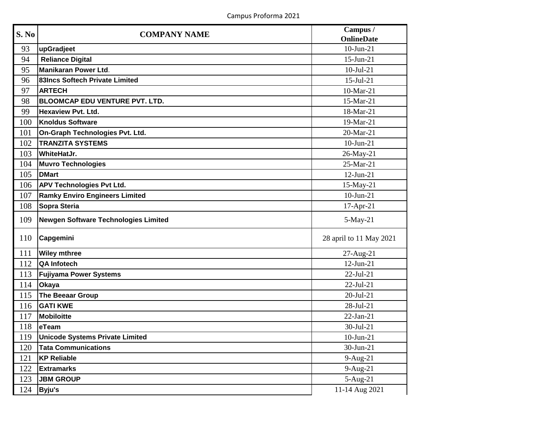| S. No | <b>COMPANY NAME</b>                   | Campus /                |
|-------|---------------------------------------|-------------------------|
|       |                                       | <b>OnlineDate</b>       |
| 93    | upGradjeet                            | $10$ -Jun-21            |
| 94    | <b>Reliance Digital</b>               | 15-Jun-21               |
| 95    | <b>Manikaran Power Ltd.</b>           | $10$ -Jul-21            |
| 96    | 83Incs Softech Private Limited        | $15$ -Jul-21            |
| 97    | <b>ARTECH</b>                         | 10-Mar-21               |
| 98    | <b>BLOOMCAP EDU VENTURE PVT. LTD.</b> | 15-Mar-21               |
| 99    | <b>Hexaview Pvt. Ltd.</b>             | 18-Mar-21               |
| 100   | <b>Knoldus Software</b>               | 19-Mar-21               |
| 101   | On-Graph Technologies Pvt. Ltd.       | 20-Mar-21               |
| 102   | <b>TRANZITA SYSTEMS</b>               | $10-Jun-21$             |
| 103   | <b>WhiteHatJr.</b>                    | 26-May-21               |
| 104   | <b>Muvro Technologies</b>             | 25-Mar-21               |
| 105   | <b>DMart</b>                          | $12-Jun-21$             |
| 106   | <b>APV Technologies Pvt Ltd.</b>      | 15-May-21               |
| 107   | <b>Ramky Enviro Engineers Limited</b> | $10$ -Jun-21            |
| 108   | Sopra Steria                          | $17-Apr-21$             |
| 109   | Newgen Software Technologies Limited  | 5-May-21                |
| 110   | Capgemini                             | 28 april to 11 May 2021 |
| 111   | <b>Wiley mthree</b>                   | 27-Aug-21               |
| 112   | <b>QA Infotech</b>                    | $12-Jun-21$             |
| 113   | <b>Fujiyama Power Systems</b>         | $22-Jul-21$             |
| 114   | Okaya                                 | 22-Jul-21               |
| 115   | <b>The Beeaar Group</b>               | $20 -$ Jul-21           |
| 116   | <b>GATI KWE</b>                       | 28-Jul-21               |
| 117   | Mobiloitte                            | $22-Jan-21$             |
| 118   | eTeam                                 | $30 -$ Jul $-21$        |
| 119   | Unicode Systems Private Limited       | $10-Jun-21$             |
| 120   | <b>Tata Communications</b>            | 30-Jun-21               |
| 121   | <b>KP Reliable</b>                    | $9-Aug-21$              |
| 122   | <b>Extramarks</b>                     | $9-Aug-21$              |
| 123   | <b>JBM GROUP</b>                      | $5-Aug-21$              |
| 124   | Byju's                                | 11-14 Aug 2021          |